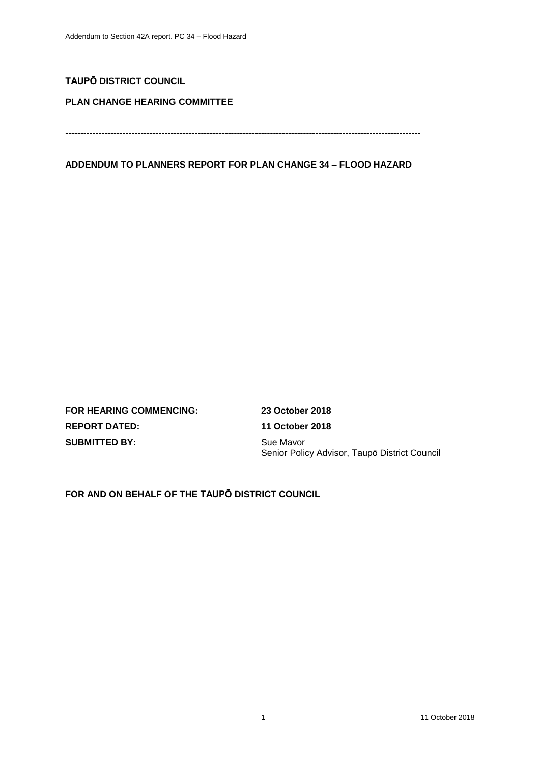## **TAUPŌ DISTRICT COUNCIL**

### **PLAN CHANGE HEARING COMMITTEE**

**----------------------------------------------------------------------------------------------------------------------**

### **ADDENDUM TO PLANNERS REPORT FOR PLAN CHANGE 34 – FLOOD HAZARD**

**FOR HEARING COMMENCING: 23 October 2018 REPORT DATED: 11 October 2018 SUBMITTED BY:** Sue Mavor

Senior Policy Advisor, Taupō District Council

**FOR AND ON BEHALF OF THE TAUPŌ DISTRICT COUNCIL**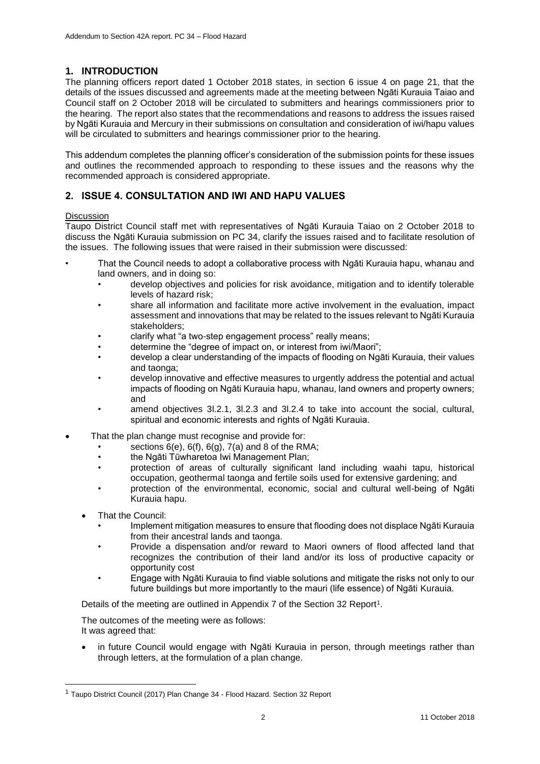# **1. INTRODUCTION**

The planning officers report dated 1 October 2018 states, in section 6 issue 4 on page 21, that the details of the issues discussed and agreements made at the meeting between Ngāti Kurauia Taiao and Council staff on 2 October 2018 will be circulated to submitters and hearings commissioners prior to the hearing. The report also states that the recommendations and reasons to address the issues raised by Ngāti Kurauia and Mercury in their submissions on consultation and consideration of iwi/hapu values will be circulated to submitters and hearings commissioner prior to the hearing.

This addendum completes the planning officer's consideration of the submission points for these issues and outlines the recommended approach to responding to these issues and the reasons why the recommended approach is considered appropriate.

## **2. ISSUE 4. CONSULTATION AND IWI AND HAPU VALUES**

#### **Discussion**

Taupo District Council staff met with representatives of Ngāti Kurauia Taiao on 2 October 2018 to discuss the Ngāti Kurauia submission on PC 34, clarify the issues raised and to facilitate resolution of the issues. The following issues that were raised in their submission were discussed:

- That the Council needs to adopt a collaborative process with Ngāti Kurauia hapu, whanau and land owners, and in doing so:
	- develop objectives and policies for risk avoidance, mitigation and to identify tolerable levels of hazard risk;
	- share all information and facilitate more active involvement in the evaluation, impact assessment and innovations that may be related to the issues relevant to Ngāti Kurauia stakeholders;
	- clarify what "a two-step engagement process" really means;
	- determine the "degree of impact on, or interest from iwi/Maori";
	- develop a clear understanding of the impacts of flooding on Ngāti Kurauia, their values and taonga;
	- develop innovative and effective measures to urgently address the potential and actual impacts of flooding on Ngāti Kurauia hapu, whanau, land owners and property owners; and
	- amend objectives 3l.2.1, 3l.2.3 and 3l.2.4 to take into account the social, cultural, spiritual and economic interests and rights of Ngāti Kurauia.
- That the plan change must recognise and provide for:
	- sections  $6(e)$ ,  $6(f)$ ,  $6(g)$ ,  $7(a)$  and 8 of the RMA;
	- the Ngāti Tūwharetoa Iwi Management Plan;
	- protection of areas of culturally significant land including waahi tapu, historical occupation, geothermal taonga and fertile soils used for extensive gardening; and
	- protection of the environmental, economic, social and cultural well-being of Ngāti Kurauia hapu.
	- That the Council:

-

- Implement mitigation measures to ensure that flooding does not displace Ngāti Kurauia from their ancestral lands and taonga.
- Provide a dispensation and/or reward to Maori owners of flood affected land that recognizes the contribution of their land and/or its loss of productive capacity or opportunity cost
- Engage with Ngāti Kurauia to find viable solutions and mitigate the risks not only to our future buildings but more importantly to the mauri (life essence) of Ngāti Kurauia.

Details of the meeting are outlined in Appendix 7 of the Section 32 Report<sup>1</sup>.

The outcomes of the meeting were as follows: It was agreed that:

• in future Council would engage with Ngāti Kurauia in person, through meetings rather than through letters, at the formulation of a plan change.

<sup>&</sup>lt;sup>1</sup> Taupo District Council (2017) Plan Change 34 - Flood Hazard. Section 32 Report